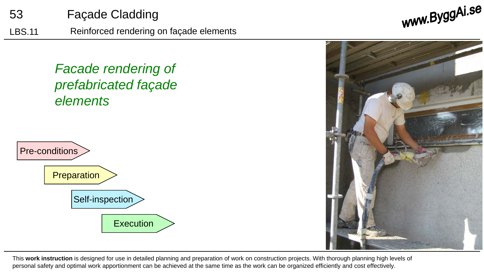

53 Façade Cladding

This **work instruction** is designed for use in detailed planning and preparation of work on construction projects. With thorough planning high levels of personal safety and optimal work apportionment can be achieved at the same time as the work can be organized efficiently and cost effectively.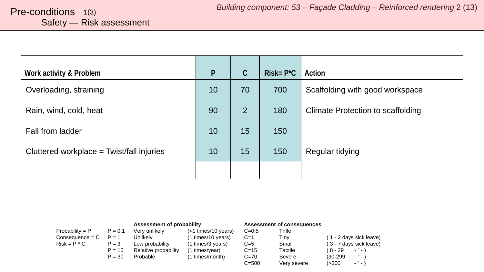# <span id="page-1-0"></span>Safety — Risk assessment

| Work activity & Problem                     | $\mathsf{P}$ | $\mathsf C$    | $Risk = P^*C$ | Action                            |
|---------------------------------------------|--------------|----------------|---------------|-----------------------------------|
| Overloading, straining                      | 10           | 70             | 700           | Scaffolding with good workspace   |
| Rain, wind, cold, heat                      | 90           | $\overline{2}$ | 180           | Climate Protection to scaffolding |
| Fall from ladder                            | 10           | 15             | 150           |                                   |
| Cluttered workplace = $Twist/fall$ injuries | 10           | 15             | 150           | Regular tidying                   |
|                                             |              |                |               |                                   |

|                   |           | Assessment of probability |                     | Assessment of consequences |             |                                        |
|-------------------|-----------|---------------------------|---------------------|----------------------------|-------------|----------------------------------------|
| Probability = $P$ | $P = 0.1$ | Verv unlikelv             | (<1 times/10 years) | $C = 0.5$                  | Trifle      |                                        |
| $Consequence = C$ | $P = 1$   | Unlikelv                  | (1 times/10 years)  | $C=1$                      | Tinv        | (1 - 2 days sick leave)                |
| $Risk = P * C$    | $P = 3$   | Low probability           | (1 times/3 years)   | $C=5$                      | Small       | (3 - 7 days sick leave)                |
|                   | $P = 10$  | Relative probability      | (1 times/year)      | $C = 15$                   | Tactile     | ( 8 - 29<br>$\cdots$                   |
|                   | $P = 30$  | Probable                  | (1 times/month)     | $C = 70$                   | Severe      | $ "$ $ \lambda$<br>$(30-299)$          |
|                   |           |                           |                     | $C = 500$                  | Very severe | $\sim$ $^{10}$ $\sim$ $^{11}$<br>(>300 |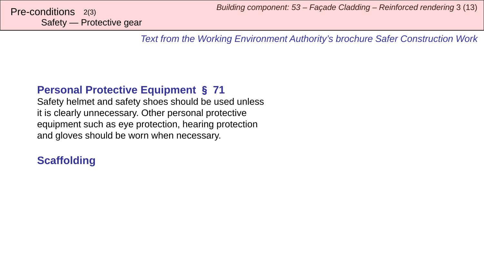Safety — Protective gear

*Text from the Working Environment Authority's brochure Safer Construction Work*

# **Personal Protective Equipment** § **71**

Safety helmet and safety shoes should be used unless it is clearly unnecessary. Other personal protective equipment such as eye protection, hearing protection and gloves should be worn when necessary.

# **Scaffolding**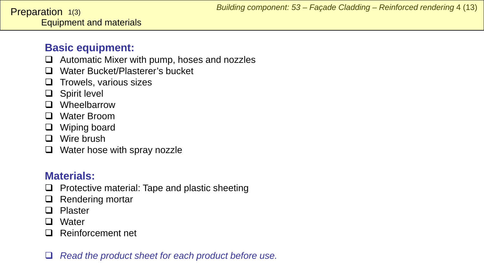# <span id="page-3-0"></span>**Basic equipment:**

- $\Box$  Automatic Mixer with pump, hoses and nozzles
- □ Water Bucket/Plasterer's bucket
- $\Box$  Trowels, various sizes
- □ Spirit level
- **D** Wheelbarrow
- □ Water Broom
- □ Wiping board
- □ Wire brush
- $\Box$  Water hose with spray nozzle

# **Materials:**

- $\Box$  Protective material: Tape and plastic sheeting
- $\Box$  Rendering mortar
- □ Plaster
- □ Water
- □ Reinforcement net
- *Read the product sheet for each product before use.*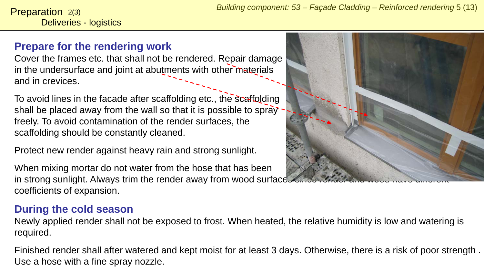Deliveries - logistics **Preparation**  $2(3)$ 

# **Prepare for the rendering work**

Cover the frames etc. that shall not be rendered. Repair damage in the undersurface and joint at abutments with other materials and in crevices.

To avoid lines in the facade after scaffolding etc., the scaffolding shall be placed away from the wall so that it is possible to spray freely. To avoid contamination of the render surfaces, the scaffolding should be constantly cleaned.

Protect new render against heavy rain and strong sunlight.

When mixing mortar do not water from the hose that has been in strong sunlight. Always trim the render away from wood surface coefficients of expansion.

# **During the cold season**

Newly applied render shall not be exposed to frost. When heated, the relative humidity is low and watering is required.

Finished render shall after watered and kept moist for at least 3 days. Otherwise, there is a risk of poor strength . Use a hose with a fine spray nozzle.

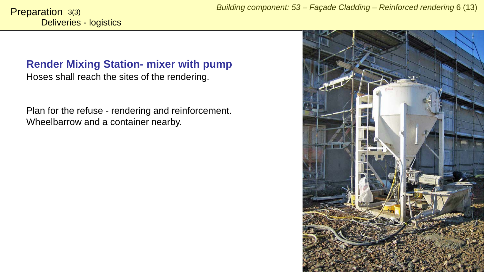Deliveries - logistics Preparation 3(3)

### **Render Mixing Station- mixer with pump**

Hoses shall reach the sites of the rendering.

Plan for the refuse - rendering and reinforcement. Wheelbarrow and a container nearby.

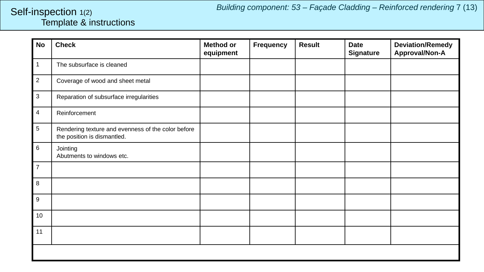### <span id="page-6-0"></span>Template & instructions Self-inspection 1(2)

| <b>No</b>                 | <b>Check</b>                                                                      | <b>Method or</b><br>equipment | <b>Frequency</b> | <b>Result</b> | <b>Date</b><br><b>Signature</b> | <b>Deviation/Remedy</b><br>Approval/Non-A |  |  |  |
|---------------------------|-----------------------------------------------------------------------------------|-------------------------------|------------------|---------------|---------------------------------|-------------------------------------------|--|--|--|
| $\overline{1}$            | The subsurface is cleaned                                                         |                               |                  |               |                                 |                                           |  |  |  |
| $\overline{2}$            | Coverage of wood and sheet metal                                                  |                               |                  |               |                                 |                                           |  |  |  |
| $\ensuremath{\mathsf{3}}$ | Reparation of subsurface irregularities                                           |                               |                  |               |                                 |                                           |  |  |  |
| 4                         | Reinforcement                                                                     |                               |                  |               |                                 |                                           |  |  |  |
| $\sqrt{5}$                | Rendering texture and evenness of the color before<br>the position is dismantled. |                               |                  |               |                                 |                                           |  |  |  |
| $\,6$                     | Jointing<br>Abutments to windows etc.                                             |                               |                  |               |                                 |                                           |  |  |  |
| $\overline{7}$            |                                                                                   |                               |                  |               |                                 |                                           |  |  |  |
| $\bf 8$                   |                                                                                   |                               |                  |               |                                 |                                           |  |  |  |
| $\boldsymbol{9}$          |                                                                                   |                               |                  |               |                                 |                                           |  |  |  |
| 10                        |                                                                                   |                               |                  |               |                                 |                                           |  |  |  |
| 11                        |                                                                                   |                               |                  |               |                                 |                                           |  |  |  |
|                           |                                                                                   |                               |                  |               |                                 |                                           |  |  |  |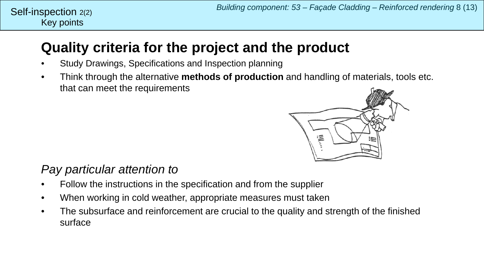### Key points Self-inspection  $2(2)$

# **Quality criteria for the project and the product**

- Study Drawings, Specifications and Inspection planning
- Think through the alternative **methods of production** and handling of materials, tools etc. that can meet the requirements



# *Pay particular attention to*

- Follow the instructions in the specification and from the supplier
- When working in cold weather, appropriate measures must taken
- The subsurface and reinforcement are crucial to the quality and strength of the finished surface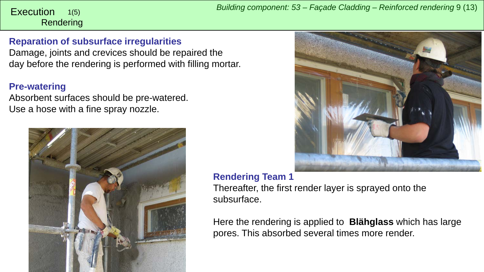### <span id="page-8-0"></span>Rendering 1(5)

### **Reparation of subsurface irregularities**

Damage, joints and crevices should be repaired the day before the rendering is performed with filling mortar.

#### **Pre-watering**

Absorbent surfaces should be pre-watered. Use a hose with a fine spray nozzle.





### **Rendering Team 1**

Thereafter, the first render layer is sprayed onto the subsurface.

Here the rendering is applied to **Blähglass** which has large pores. This absorbed several times more render.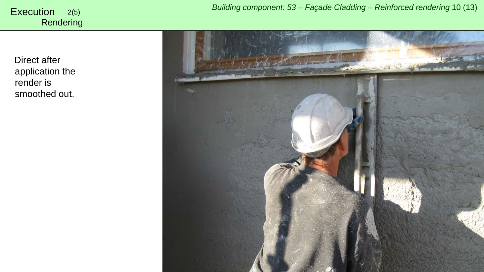**Rendering** 

Direct after application the render is smoothed out.

*Building component: 53 – Façade Cladding – Reinforced rendering* <sup>10</sup> (13) Execution 2(5)

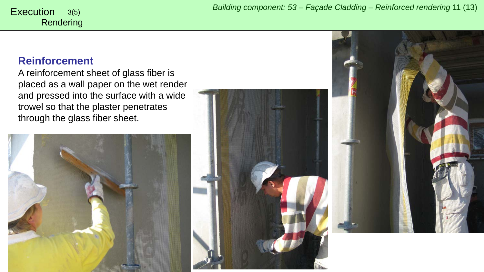Rendering

## **Reinforcement**

A reinforcement sheet of glass fiber is placed as a wall paper on the wet render and pressed into the surface with a wide trowel so that the plaster penetrates through the glass fiber sheet.





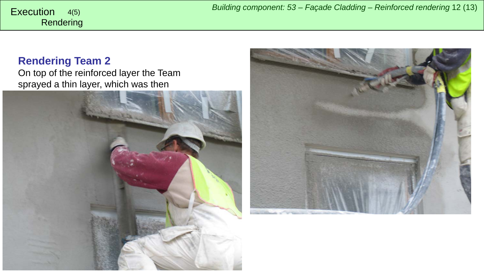# **Rendering Team 2**

Rendering

On top of the reinforced layer the Team sprayed a thin layer, which was then



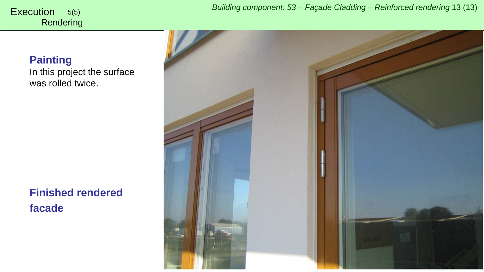*Building component: 53 – Façade Cladding – Reinforced rendering* <sup>13</sup> (13) Execution 5(5)

# **Rendering**

# **Painting**

In this project the surface was rolled twice.

**Finished rendered facade**